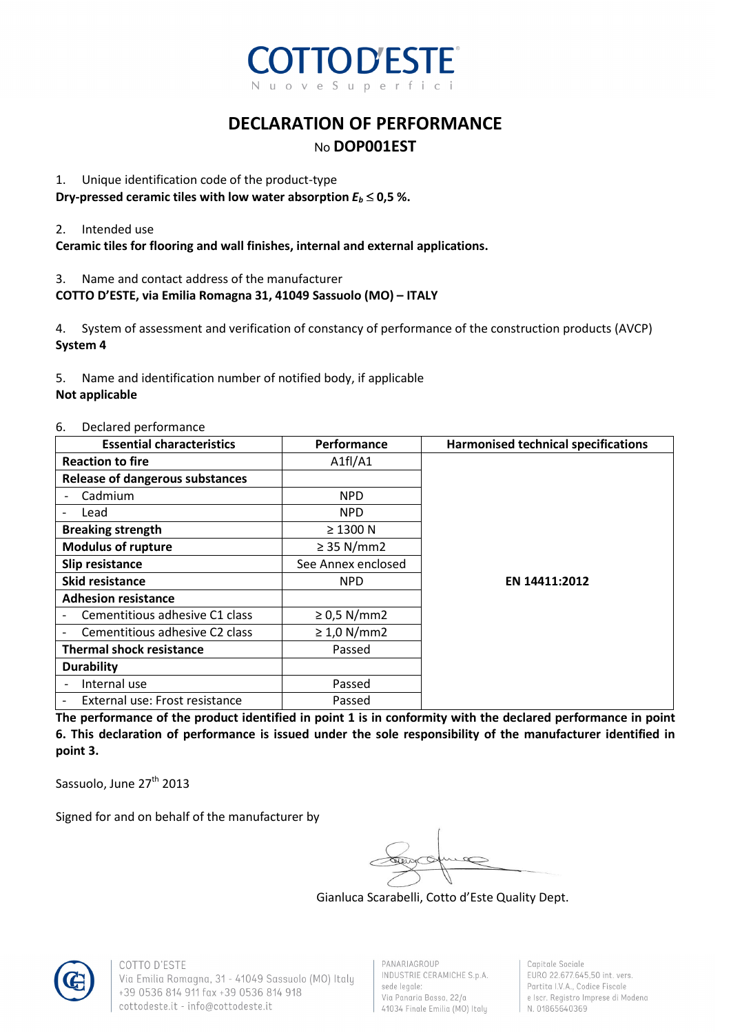

### **DECLARATION OF PERFORMANCE**  No **DOP001EST**

#### 1. Unique identification code of the product-type

**Dry-pressed ceramic tiles with low water absorption**  $E_b \leq 0.5$ **%.** 

#### 2. Intended use

**Ceramic tiles for flooring and wall finishes, internal and external applications.** 

3. Name and contact address of the manufacturer

#### **COTTO D'ESTE, via Emilia Romagna 31, 41049 Sassuolo (MO) – ITALY**

4. System of assessment and verification of constancy of performance of the construction products (AVCP) **System 4** 

5. Name and identification number of notified body, if applicable

#### **Not applicable**

#### 6. Declared performance

| <b>Essential characteristics</b>                           | Performance        | <b>Harmonised technical specifications</b> |
|------------------------------------------------------------|--------------------|--------------------------------------------|
| <b>Reaction to fire</b>                                    | A1fI/A1            |                                            |
| <b>Release of dangerous substances</b>                     |                    |                                            |
| Cadmium                                                    | <b>NPD</b>         |                                            |
| Lead                                                       | <b>NPD</b>         |                                            |
| <b>Breaking strength</b>                                   | $\geq$ 1300 N      |                                            |
| <b>Modulus of rupture</b>                                  | $\geq$ 35 N/mm2    |                                            |
| Slip resistance                                            | See Annex enclosed |                                            |
| <b>Skid resistance</b>                                     | <b>NPD</b>         | EN 14411:2012                              |
| <b>Adhesion resistance</b>                                 |                    |                                            |
| Cementitious adhesive C1 class                             | $\geq$ 0,5 N/mm2   |                                            |
| Cementitious adhesive C2 class                             | $\geq 1.0$ N/mm2   |                                            |
| <b>Thermal shock resistance</b>                            | Passed             |                                            |
| <b>Durability</b>                                          |                    |                                            |
| Internal use<br>$\overline{\phantom{a}}$                   | Passed             |                                            |
| External use: Frost resistance<br>$\overline{\phantom{a}}$ | Passed             |                                            |

**The performance of the product identified in point 1 is in conformity with the declared performance in point 6. This declaration of performance is issued under the sole responsibility of the manufacturer identified in point 3.** 

Sassuolo, June 27<sup>th</sup> 2013

Signed for and on behalf of the manufacturer by

Gianluca Scarabelli, Cotto d'Este Quality Dept.



COTTO D'ESTE Via Emilia Romagna, 31 - 41049 Sassuolo (MO) Italy +39 0536 814 911 fax +39 0536 814 918 cottodeste.it - info@cottodeste.it

PANARIAGROUP INDUSTRIE CERAMICHE S.p.A. sede legale: Via Panaria Bassa, 22/a 41034 Finale Emilia (MO) Italy

Capitale Sociale EURO 22.677.645,50 int. vers. Partita I.V.A., Codice Fiscale e Iscr. Registro Imprese di Modena N. 01865640369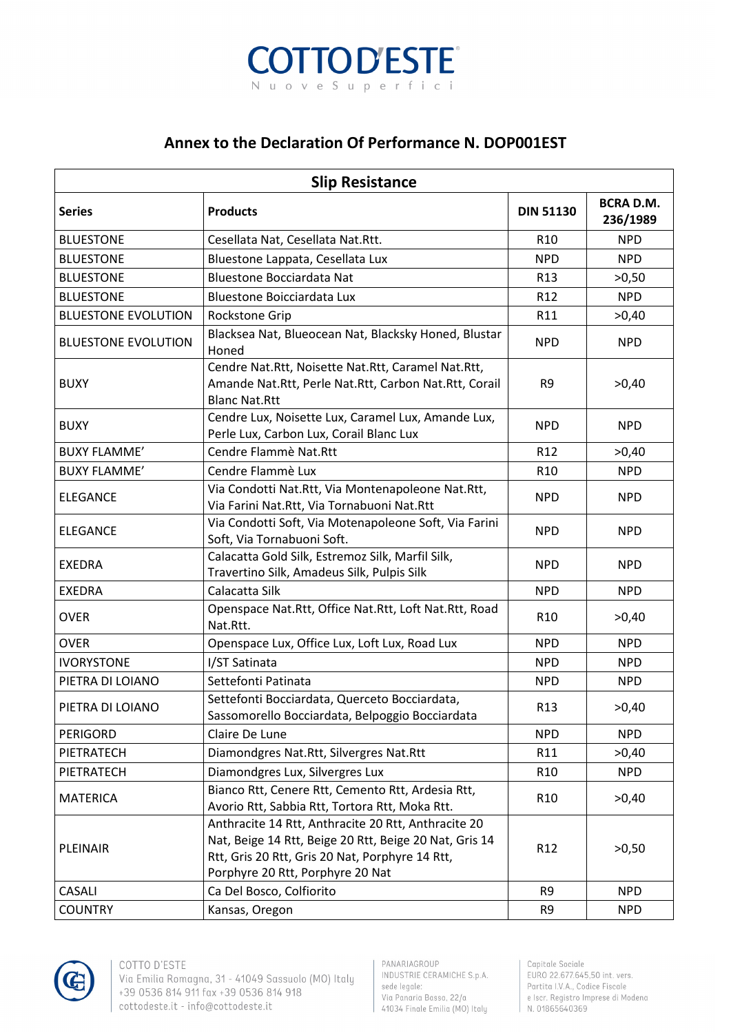

## **Annex to the Declaration Of Performance N. DOP001EST**

| <b>Slip Resistance</b><br><b>BCRA D.M.</b> |                                                                                                                                                                                                      |                  |            |  |  |
|--------------------------------------------|------------------------------------------------------------------------------------------------------------------------------------------------------------------------------------------------------|------------------|------------|--|--|
| <b>Series</b>                              | <b>Products</b>                                                                                                                                                                                      | <b>DIN 51130</b> | 236/1989   |  |  |
| <b>BLUESTONE</b>                           | Cesellata Nat, Cesellata Nat.Rtt.                                                                                                                                                                    | R <sub>10</sub>  | <b>NPD</b> |  |  |
| <b>BLUESTONE</b>                           | Bluestone Lappata, Cesellata Lux                                                                                                                                                                     | <b>NPD</b>       | <b>NPD</b> |  |  |
| <b>BLUESTONE</b>                           | <b>Bluestone Bocciardata Nat</b>                                                                                                                                                                     | R <sub>13</sub>  | >0,50      |  |  |
| <b>BLUESTONE</b>                           | <b>Bluestone Boicciardata Lux</b>                                                                                                                                                                    | R <sub>12</sub>  | <b>NPD</b> |  |  |
| <b>BLUESTONE EVOLUTION</b>                 | Rockstone Grip                                                                                                                                                                                       | R11              | >0,40      |  |  |
| <b>BLUESTONE EVOLUTION</b>                 | Blacksea Nat, Blueocean Nat, Blacksky Honed, Blustar<br>Honed                                                                                                                                        | <b>NPD</b>       | <b>NPD</b> |  |  |
| <b>BUXY</b>                                | Cendre Nat.Rtt, Noisette Nat.Rtt, Caramel Nat.Rtt,<br>Amande Nat.Rtt, Perle Nat.Rtt, Carbon Nat.Rtt, Corail<br><b>Blanc Nat.Rtt</b>                                                                  | R9               | >0,40      |  |  |
| <b>BUXY</b>                                | Cendre Lux, Noisette Lux, Caramel Lux, Amande Lux,<br>Perle Lux, Carbon Lux, Corail Blanc Lux                                                                                                        | <b>NPD</b>       | <b>NPD</b> |  |  |
| <b>BUXY FLAMME'</b>                        | Cendre Flammè Nat.Rtt                                                                                                                                                                                | R12              | >0,40      |  |  |
| <b>BUXY FLAMME'</b>                        | Cendre Flammè Lux                                                                                                                                                                                    | R <sub>10</sub>  | <b>NPD</b> |  |  |
| <b>ELEGANCE</b>                            | Via Condotti Nat.Rtt, Via Montenapoleone Nat.Rtt,<br>Via Farini Nat.Rtt, Via Tornabuoni Nat.Rtt                                                                                                      | <b>NPD</b>       | <b>NPD</b> |  |  |
| <b>ELEGANCE</b>                            | Via Condotti Soft, Via Motenapoleone Soft, Via Farini<br>Soft, Via Tornabuoni Soft.                                                                                                                  | <b>NPD</b>       | <b>NPD</b> |  |  |
| <b>EXEDRA</b>                              | Calacatta Gold Silk, Estremoz Silk, Marfil Silk,<br>Travertino Silk, Amadeus Silk, Pulpis Silk                                                                                                       | <b>NPD</b>       | <b>NPD</b> |  |  |
| <b>EXEDRA</b>                              | Calacatta Silk                                                                                                                                                                                       | <b>NPD</b>       | <b>NPD</b> |  |  |
| <b>OVER</b>                                | Openspace Nat.Rtt, Office Nat.Rtt, Loft Nat.Rtt, Road<br>Nat.Rtt.                                                                                                                                    | R <sub>10</sub>  | >0,40      |  |  |
| <b>OVER</b>                                | Openspace Lux, Office Lux, Loft Lux, Road Lux                                                                                                                                                        | <b>NPD</b>       | <b>NPD</b> |  |  |
| <b>IVORYSTONE</b>                          | I/ST Satinata                                                                                                                                                                                        | <b>NPD</b>       | <b>NPD</b> |  |  |
| PIETRA DI LOIANO                           | Settefonti Patinata                                                                                                                                                                                  | <b>NPD</b>       | <b>NPD</b> |  |  |
| PIETRA DI LOIANO                           | Settefonti Bocciardata, Querceto Bocciardata,<br>Sassomorello Bocciardata, Belpoggio Bocciardata                                                                                                     | R <sub>13</sub>  | >0,40      |  |  |
| <b>PERIGORD</b>                            | Claire De Lune                                                                                                                                                                                       | <b>NPD</b>       | <b>NPD</b> |  |  |
| PIETRATECH                                 | Diamondgres Nat.Rtt, Silvergres Nat.Rtt                                                                                                                                                              | R11              | >0,40      |  |  |
| PIETRATECH                                 | Diamondgres Lux, Silvergres Lux                                                                                                                                                                      | R <sub>10</sub>  | <b>NPD</b> |  |  |
| <b>MATERICA</b>                            | Bianco Rtt, Cenere Rtt, Cemento Rtt, Ardesia Rtt,<br>Avorio Rtt, Sabbia Rtt, Tortora Rtt, Moka Rtt.                                                                                                  | R <sub>10</sub>  | >0,40      |  |  |
| PLEINAIR                                   | Anthracite 14 Rtt, Anthracite 20 Rtt, Anthracite 20<br>Nat, Beige 14 Rtt, Beige 20 Rtt, Beige 20 Nat, Gris 14<br>Rtt, Gris 20 Rtt, Gris 20 Nat, Porphyre 14 Rtt,<br>Porphyre 20 Rtt, Porphyre 20 Nat | R <sub>12</sub>  | >0,50      |  |  |
| CASALI                                     | Ca Del Bosco, Colfiorito                                                                                                                                                                             | R9               | <b>NPD</b> |  |  |
| <b>COUNTRY</b>                             | Kansas, Oregon                                                                                                                                                                                       | R9               | <b>NPD</b> |  |  |



Capitale Sociale EURO 22.677.645,50 int. vers. Partita I.V.A., Codice Fiscale e Iscr. Registro Imprese di Modena N. 01865640369